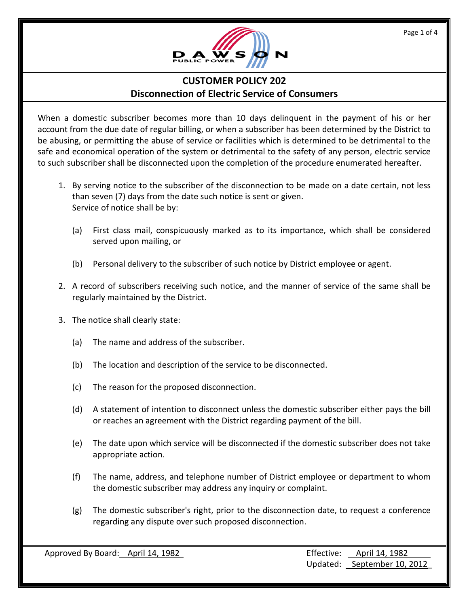

## **CUSTOMER POLICY 202 Disconnection of Electric Service of Consumers**

When a domestic subscriber becomes more than 10 days delinquent in the payment of his or her account from the due date of regular billing, or when a subscriber has been determined by the District to be abusing, or permitting the abuse of service or facilities which is determined to be detrimental to the safe and economical operation of the system or detrimental to the safety of any person, electric service to such subscriber shall be disconnected upon the completion of the procedure enumerated hereafter.

- 1. By serving notice to the subscriber of the disconnection to be made on a date certain, not less than seven (7) days from the date such notice is sent or given. Service of notice shall be by:
	- (a) First class mail, conspicuously marked as to its importance, which shall be considered served upon mailing, or
	- (b) Personal delivery to the subscriber of such notice by District employee or agent.
- 2. A record of subscribers receiving such notice, and the manner of service of the same shall be regularly maintained by the District.
- 3. The notice shall clearly state:
	- (a) The name and address of the subscriber.
	- (b) The location and description of the service to be disconnected.
	- (c) The reason for the proposed disconnection.
	- (d) A statement of intention to disconnect unless the domestic subscriber either pays the bill or reaches an agreement with the District regarding payment of the bill.
	- (e) The date upon which service will be disconnected if the domestic subscriber does not take appropriate action.
	- (f) The name, address, and telephone number of District employee or department to whom the domestic subscriber may address any inquiry or complaint.
	- (g) The domestic subscriber's right, prior to the disconnection date, to request a conference regarding any dispute over such proposed disconnection.

Approved By Board: April 14, 1982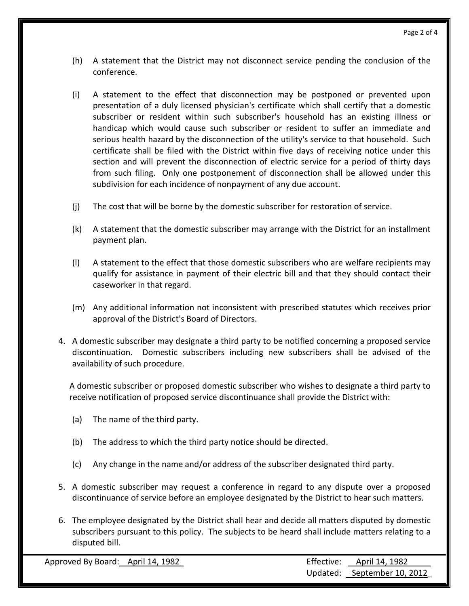- (h) A statement that the District may not disconnect service pending the conclusion of the conference.
- (i) A statement to the effect that disconnection may be postponed or prevented upon presentation of a duly licensed physician's certificate which shall certify that a domestic subscriber or resident within such subscriber's household has an existing illness or handicap which would cause such subscriber or resident to suffer an immediate and serious health hazard by the disconnection of the utility's service to that household. Such certificate shall be filed with the District within five days of receiving notice under this section and will prevent the disconnection of electric service for a period of thirty days from such filing. Only one postponement of disconnection shall be allowed under this subdivision for each incidence of nonpayment of any due account.
- (j) The cost that will be borne by the domestic subscriber for restoration of service.
- (k) A statement that the domestic subscriber may arrange with the District for an installment payment plan.
- (l) A statement to the effect that those domestic subscribers who are welfare recipients may qualify for assistance in payment of their electric bill and that they should contact their caseworker in that regard.
- (m) Any additional information not inconsistent with prescribed statutes which receives prior approval of the District's Board of Directors.
- 4. A domestic subscriber may designate a third party to be notified concerning a proposed service discontinuation. Domestic subscribers including new subscribers shall be advised of the availability of such procedure.

A domestic subscriber or proposed domestic subscriber who wishes to designate a third party to receive notification of proposed service discontinuance shall provide the District with:

- (a) The name of the third party.
- (b) The address to which the third party notice should be directed.
- (c) Any change in the name and/or address of the subscriber designated third party.
- 5. A domestic subscriber may request a conference in regard to any dispute over a proposed discontinuance of service before an employee designated by the District to hear such matters.
- 6. The employee designated by the District shall hear and decide all matters disputed by domestic subscribers pursuant to this policy. The subjects to be heard shall include matters relating to a disputed bill.

Approved By Board: April 14, 1982 Updated: September 10, 2012\_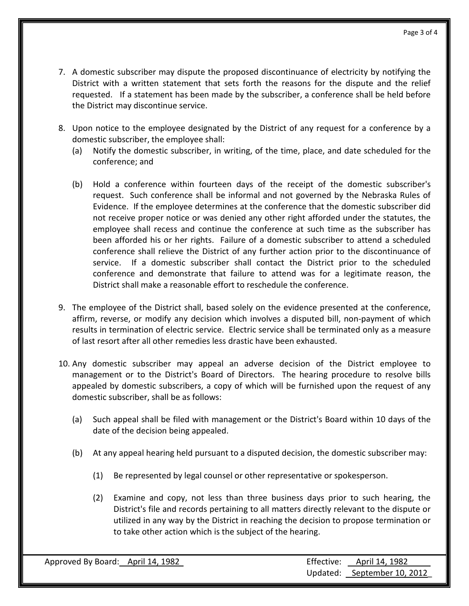- 7. A domestic subscriber may dispute the proposed discontinuance of electricity by notifying the District with a written statement that sets forth the reasons for the dispute and the relief requested. If a statement has been made by the subscriber, a conference shall be held before the District may discontinue service.
- 8. Upon notice to the employee designated by the District of any request for a conference by a domestic subscriber, the employee shall:
	- (a) Notify the domestic subscriber, in writing, of the time, place, and date scheduled for the conference; and
	- (b) Hold a conference within fourteen days of the receipt of the domestic subscriber's request. Such conference shall be informal and not governed by the Nebraska Rules of Evidence. If the employee determines at the conference that the domestic subscriber did not receive proper notice or was denied any other right afforded under the statutes, the employee shall recess and continue the conference at such time as the subscriber has been afforded his or her rights. Failure of a domestic subscriber to attend a scheduled conference shall relieve the District of any further action prior to the discontinuance of service. If a domestic subscriber shall contact the District prior to the scheduled conference and demonstrate that failure to attend was for a legitimate reason, the District shall make a reasonable effort to reschedule the conference.
- 9. The employee of the District shall, based solely on the evidence presented at the conference, affirm, reverse, or modify any decision which involves a disputed bill, non-payment of which results in termination of electric service. Electric service shall be terminated only as a measure of last resort after all other remedies less drastic have been exhausted.
- 10. Any domestic subscriber may appeal an adverse decision of the District employee to management or to the District's Board of Directors. The hearing procedure to resolve bills appealed by domestic subscribers, a copy of which will be furnished upon the request of any domestic subscriber, shall be as follows:
	- (a) Such appeal shall be filed with management or the District's Board within 10 days of the date of the decision being appealed.
	- (b) At any appeal hearing held pursuant to a disputed decision, the domestic subscriber may:
		- (1) Be represented by legal counsel or other representative or spokesperson.
		- (2) Examine and copy, not less than three business days prior to such hearing, the District's file and records pertaining to all matters directly relevant to the dispute or utilized in any way by the District in reaching the decision to propose termination or to take other action which is the subject of the hearing.

| Approved By Board: April 14, 1982 | Effective: April 14, 1982   |
|-----------------------------------|-----------------------------|
|                                   | Updated: September 10, 2012 |